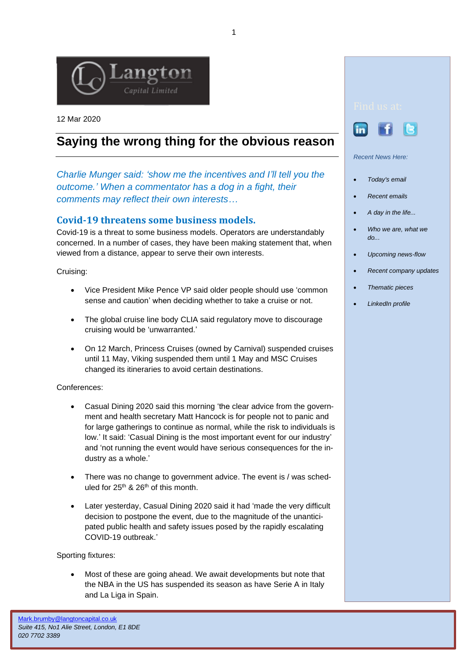

12 Mar 2020

## **Saying the wrong thing for the obvious reason**

*Charlie Munger said: 'show me the incentives and I'll tell you the outcome.' When a commentator has a dog in a fight, their comments may reflect their own interests…*

## **Covid-19 threatens some business models.**

Covid-19 is a threat to some business models. Operators are understandably concerned. In a number of cases, they have been making statement that, when viewed from a distance, appear to serve their own interests.

Cruising:

- Vice President Mike Pence VP said older people should use 'common sense and caution' when deciding whether to take a cruise or not.
- The global cruise line body CLIA said regulatory move to discourage cruising would be 'unwarranted.'
- On 12 March, Princess Cruises (owned by Carnival) suspended cruises until 11 May, Viking suspended them until 1 May and MSC Cruises changed its itineraries to avoid certain destinations.

Conferences:

- Casual Dining 2020 said this morning 'the clear advice from the government and health secretary Matt Hancock is for people not to panic and for large gatherings to continue as normal, while the risk to individuals is low.' It said: 'Casual Dining is the most important event for our industry' and 'not running the event would have serious consequences for the industry as a whole.'
- There was no change to government advice. The event is / was scheduled for  $25<sup>th</sup>$  &  $26<sup>th</sup>$  of this month.
- Later yesterday, Casual Dining 2020 said it had 'made the very difficult decision to postpone the event, due to the magnitude of the unanticipated public health and safety issues posed by the rapidly escalating COVID-19 outbreak.'

Sporting fixtures:

• Most of these are going ahead. We await developments but note that the NBA in the US has suspended its season as have Serie A in Italy and La Liga in Spain.



- *[Today's email](http://www.langtoncapital.co.uk/)*
- *[Recent emails](http://www.langtoncapital.co.uk/upcoming-results-events/recent-leisure-updates)*
- *[A day in the life...](http://www.langtoncapital.co.uk/a-day-in-the-life)*
- *[Who we are, what we](http://www.langtoncapital.co.uk/who-we-are-what-we-do)  [do...](http://www.langtoncapital.co.uk/who-we-are-what-we-do)*
- *[Upcoming news-flow](http://www.langtoncapital.co.uk/upcoming-results-events)*
- *[Recent company updates](http://www.langtoncapital.co.uk/upcoming-results-events/company-updates)*
- *[Thematic pieces](http://www.langtoncapital.co.uk/upcoming-results-events/home-2)*
- *[LinkedIn profile](http://www.linkedin.com/profile/view?id=85312462&authType=name&authToken=qoBn&locale=en_US&pvs=pp&trk=ppro_viewmore)*